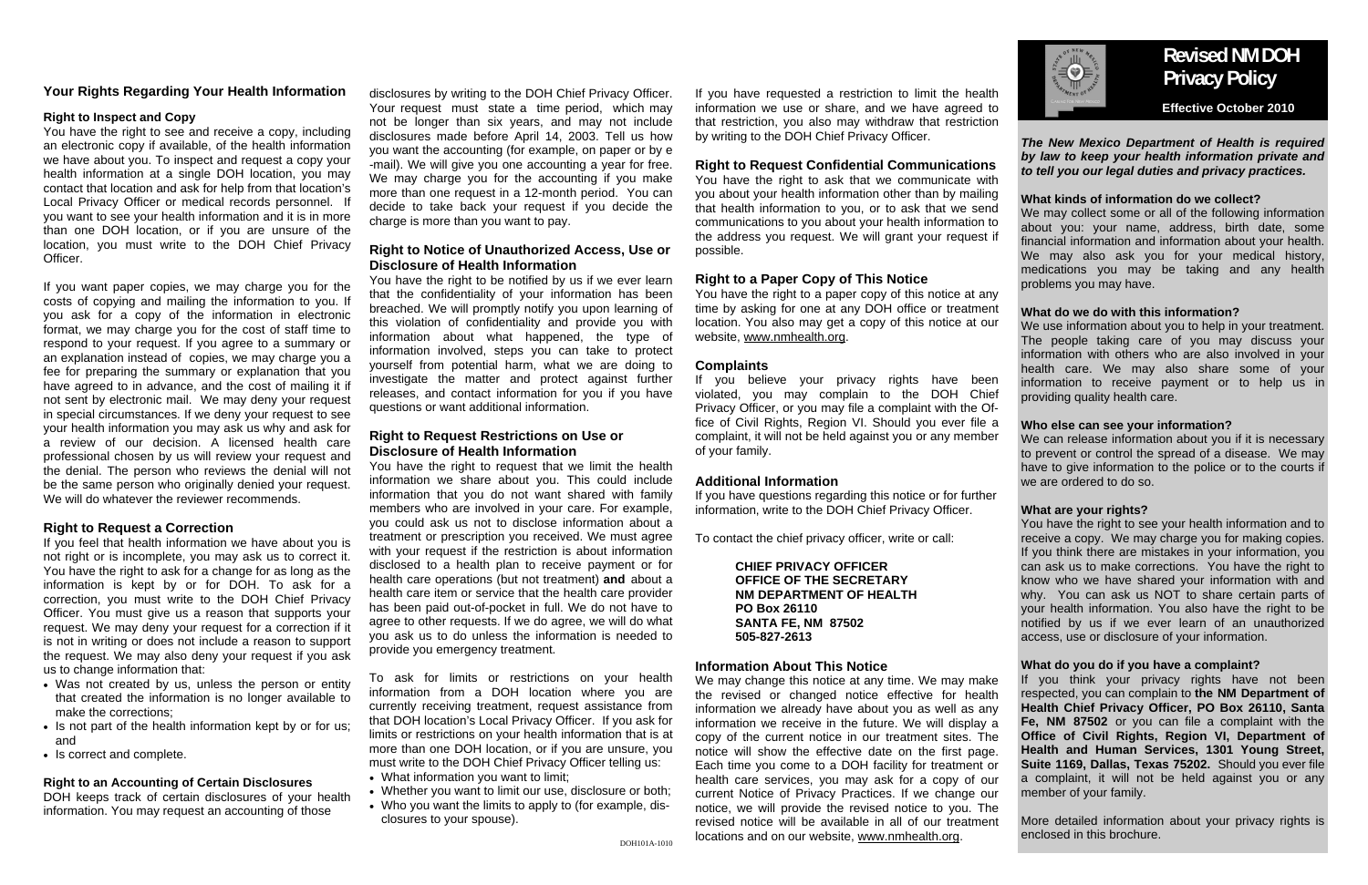## *The New Mexico Department of Health is required by law to keep your health information private and to tell you our legal duties and privacy practices.*

## **What kinds of information do we collect?**

We may collect some or all of the following information about you: your name, address, birth date, some financial information and information about your health. We may also ask you for your medical history, medications you may be taking and any health problems you may have.

We use information about you to help in your treatment. The people taking care of you may discuss your information with others who are also involved in your health care. We may also share some of your information to receive payment or to help us in providing quality health care.

## **What do we do with this information?**

## **Who else can see your information?**

We can release information about you if it is necessary to prevent or control the spread of a disease. We may have to give information to the police or to the courts if we are ordered to do so.

## **What are your rights?**

You have the right to see your health information and to receive a copy. We may charge you for making copies. If you think there are mistakes in your information, you can ask us to make corrections. You have the right to know who we have shared your information with and why. You can ask us NOT to share certain parts of your health information. You also have the right to be notified by us if we ever learn of an unauthorized access, use or disclosure of your information.

## **What do you do if you have a complaint?**

If you think your privacy rights have not been respected, you can complain to **the NM Department of Health Chief Privacy Officer, PO Box 26110, Santa Fe, NM 87502** or you can file a complaint with the **Office of Civil Rights, Region VI, Department of Health and Human Services, 1301 Young Street, Suite 1169, Dallas, Texas 75202.** Should you ever file a complaint, it will not be held against you or any member of your family.

More detailed information about your privacy rights is enclosed in this brochure.

## **Your Rights Regarding Your Health Information**

## **Right to Inspect and Copy**

You have the right to see and receive a copy, including an electronic copy if available, of the health information we have about you. To inspect and request a copy your health information at a single DOH location, you may contact that location and ask for help from that location's Local Privacy Officer or medical records personnel. If you want to see your health information and it is in more than one DOH location, or if you are unsure of the location, you must write to the DOH Chief Privacy Officer.

If you want paper copies, we may charge you for the costs of copying and mailing the information to you. If you ask for a copy of the information in electronic format, we may charge you for the cost of staff time to respond to your request. If you agree to a summary or an explanation instead of copies, we may charge you a fee for preparing the summary or explanation that you have agreed to in advance, and the cost of mailing it if not sent by electronic mail. We may deny your request in special circumstances. If we deny your request to see your health information you may ask us why and ask for a review of our decision. A licensed health care professional chosen by us will review your request and the denial. The person who reviews the denial will not be the same person who originally denied your request. We will do whatever the reviewer recommends.

## **Right to Request a Correction**

If you feel that health information we have about you is not right or is incomplete, you may ask us to correct it. You have the right to ask for a change for as long as the information is kept by or for DOH. To ask for a correction, you must write to the DOH Chief Privacy Officer. You must give us a reason that supports your request. We may deny your request for a correction if it is not in writing or does not include a reason to support the request. We may also deny your request if you ask us to change information that:

We may change this notice at any time. We may make the revised or changed notice effective for health information we already have about you as well as any information we receive in the future. We will display a copy of the current notice in our treatment sites. The notice will show the effective date on the first page. Each time you come to a DOH facility for treatment or health care services, you may ask for a copy of our current Notice of Privacy Practices. If we change our notice, we will provide the revised notice to you. The revised notice will be available in all of our treatment locations and on our website, www.nmhealth.org.



- Was not created by us, unless the person or entity that created the information is no longer available to make the corrections;
- Is not part of the health information kept by or for us; and
- Is correct and complete.

## **Right to an Accounting of Certain Disclosures**

DOH keeps track of certain disclosures of your health information. You may request an accounting of those

disclosures by writing to the DOH Chief Privacy Officer. Your request must state a time period, which may not be longer than six years, and may not include disclosures made before April 14, 2003. Tell us how you want the accounting (for example, on paper or by e -mail). We will give you one accounting a year for free. We may charge you for the accounting if you make more than one request in a 12-month period. You can decide to take back your request if you decide the charge is more than you want to pay.

## **Right to Notice of Unauthorized Access, Use or Disclosure of Health Information**

You have the right to be notified by us if we ever learn that the confidentiality of your information has been breached. We will promptly notify you upon learning of this violation of confidentiality and provide you with information about what happened, the type of information involved, steps you can take to protect yourself from potential harm, what we are doing to investigate the matter and protect against further releases, and contact information for you if you have questions or want additional information.

## **Right to Request Restrictions on Use or Disclosure of Health Information**

You have the right to request that we limit the health information we share about you. This could include information that you do not want shared with family members who are involved in your care. For example, you could ask us not to disclose information about a treatment or prescription you received. We must agree with your request if the restriction is about information disclosed to a health plan to receive payment or for health care operations (but not treatment) **and** about a health care item or service that the health care provider has been paid out-of-pocket in full. We do not have to agree to other requests. If we do agree, we will do what you ask us to do unless the information is needed to provide you emergency treatment.

To ask for limits or restrictions on your health information from a DOH location where you are currently receiving treatment, request assistance from that DOH location's Local Privacy Officer. If you ask for limits or restrictions on your health information that is at more than one DOH location, or if you are unsure, you must write to the DOH Chief Privacy Officer telling us:

- What information you want to limit;
- Whether you want to limit our use, disclosure or both;
- Who you want the limits to apply to (for example, disclosures to your spouse).

If you have requested a restriction to limit the health information we use or share, and we have agreed to that restriction, you also may withdraw that restriction by writing to the DOH Chief Privacy Officer.

## **Right to Request Confidential Communications**

You have the right to ask that we communicate with you about your health information other than by mailing that health information to you, or to ask that we send communications to you about your health information to the address you request. We will grant your request if possible.

## **Right to a Paper Copy of This Notice**

You have the right to a paper copy of this notice at any time by asking for one at any DOH office or treatment location. You also may get a copy of this notice at our website, www.nmhealth.org.

## **Complaints**

If you believe your privacy rights have been violated, you may complain to the DOH Chief Privacy Officer, or you may file a complaint with the Office of Civil Rights, Region VI. Should you ever file a complaint, it will not be held against you or any member of your family.

## **Additional Information**

If you have questions regarding this notice or for further information, write to the DOH Chief Privacy Officer.

To contact the chief privacy officer, write or call:

**CHIEF PRIVACY OFFICER OFFICE OF THE SECRETARY NM DEPARTMENT OF HEALTH PO Box 26110 SANTA FE, NM 87502 505-827-2613** 

## **Information About This Notice**

## **Revised NM DOH Privacy Policy**

 **Effective October 2010**